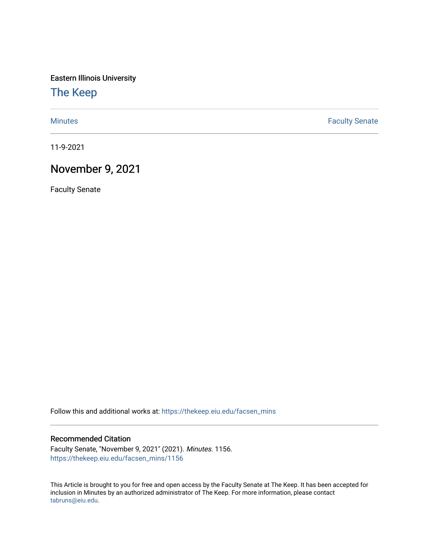Eastern Illinois University

[The Keep](https://thekeep.eiu.edu/) 

[Minutes](https://thekeep.eiu.edu/facsen_mins) **Faculty Senate** 

11-9-2021

# November 9, 2021

Faculty Senate

Follow this and additional works at: [https://thekeep.eiu.edu/facsen\\_mins](https://thekeep.eiu.edu/facsen_mins?utm_source=thekeep.eiu.edu%2Ffacsen_mins%2F1156&utm_medium=PDF&utm_campaign=PDFCoverPages) 

#### Recommended Citation

Faculty Senate, "November 9, 2021" (2021). Minutes. 1156. [https://thekeep.eiu.edu/facsen\\_mins/1156](https://thekeep.eiu.edu/facsen_mins/1156?utm_source=thekeep.eiu.edu%2Ffacsen_mins%2F1156&utm_medium=PDF&utm_campaign=PDFCoverPages) 

This Article is brought to you for free and open access by the Faculty Senate at The Keep. It has been accepted for inclusion in Minutes by an authorized administrator of The Keep. For more information, please contact [tabruns@eiu.edu.](mailto:tabruns@eiu.edu)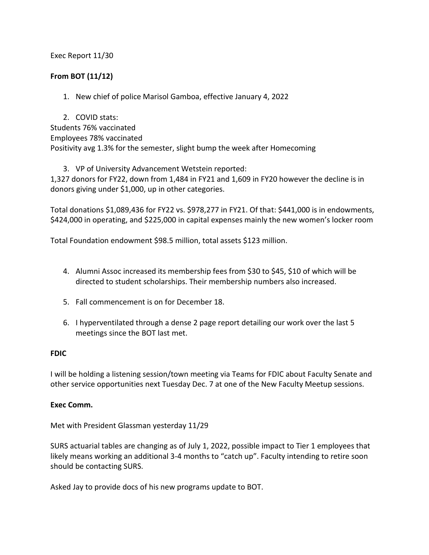# Exec Report 11/30

# **From BOT (11/12)**

1. New chief of police Marisol Gamboa, effective January 4, 2022

2. COVID stats: Students 76% vaccinated Employees 78% vaccinated Positivity avg 1.3% for the semester, slight bump the week after Homecoming

3. VP of University Advancement Wetstein reported:

1,327 donors for FY22, down from 1,484 in FY21 and 1,609 in FY20 however the decline is in donors giving under \$1,000, up in other categories.

Total donations \$1,089,436 for FY22 vs. \$978,277 in FY21. Of that: \$441,000 is in endowments, \$424,000 in operating, and \$225,000 in capital expenses mainly the new women's locker room

Total Foundation endowment \$98.5 million, total assets \$123 million.

- 4. Alumni Assoc increased its membership fees from \$30 to \$45, \$10 of which will be directed to student scholarships. Their membership numbers also increased.
- 5. Fall commencement is on for December 18.
- 6. I hyperventilated through a dense 2 page report detailing our work over the last 5 meetings since the BOT last met.

### **FDIC**

I will be holding a listening session/town meeting via Teams for FDIC about Faculty Senate and other service opportunities next Tuesday Dec. 7 at one of the New Faculty Meetup sessions.

### **Exec Comm.**

Met with President Glassman yesterday 11/29

SURS actuarial tables are changing as of July 1, 2022, possible impact to Tier 1 employees that likely means working an additional 3-4 months to "catch up". Faculty intending to retire soon should be contacting SURS.

Asked Jay to provide docs of his new programs update to BOT.